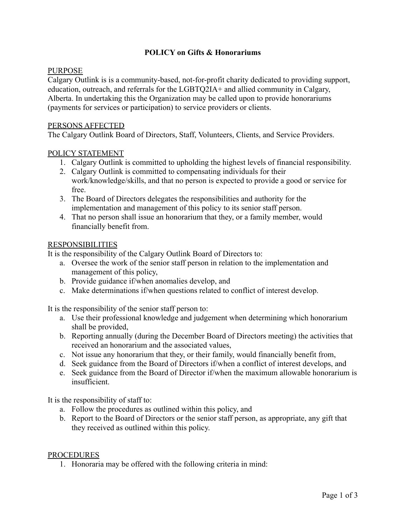# **POLICY on Gifts & Honorariums**

## PURPOSE

Calgary Outlink is is a community-based, not-for-profit charity dedicated to providing support, education, outreach, and referrals for the LGBTQ2IA+ and allied community in Calgary, Alberta. In undertaking this the Organization may be called upon to provide honorariums (payments for services or participation) to service providers or clients.

### PERSONS AFFECTED

The Calgary Outlink Board of Directors, Staff, Volunteers, Clients, and Service Providers.

### POLICY STATEMENT

- 1. Calgary Outlink is committed to upholding the highest levels of financial responsibility.
- 2. Calgary Outlink is committed to compensating individuals for their work/knowledge/skills, and that no person is expected to provide a good or service for free.
- 3. The Board of Directors delegates the responsibilities and authority for the implementation and management of this policy to its senior staff person.
- 4. That no person shall issue an honorarium that they, or a family member, would financially benefit from.

#### RESPONSIBILITIES

It is the responsibility of the Calgary Outlink Board of Directors to:

- a. Oversee the work of the senior staff person in relation to the implementation and management of this policy,
- b. Provide guidance if/when anomalies develop, and
- c. Make determinations if/when questions related to conflict of interest develop.

It is the responsibility of the senior staff person to:

- a. Use their professional knowledge and judgement when determining which honorarium shall be provided,
- b. Reporting annually (during the December Board of Directors meeting) the activities that received an honorarium and the associated values,
- c. Not issue any honorarium that they, or their family, would financially benefit from,
- d. Seek guidance from the Board of Directors if/when a conflict of interest develops, and
- e. Seek guidance from the Board of Director if/when the maximum allowable honorarium is insufficient.

It is the responsibility of staff to:

- a. Follow the procedures as outlined within this policy, and
- b. Report to the Board of Directors or the senior staff person, as appropriate, any gift that they received as outlined within this policy.

#### **PROCEDURES**

1. Honoraria may be offered with the following criteria in mind: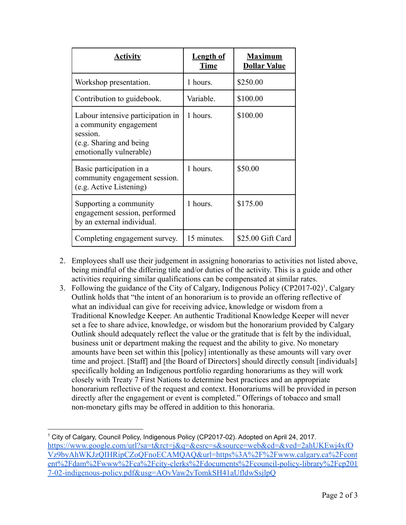| <b>Activity</b>                                                                                                               | <b>Length of</b><br><b>Time</b> | <b>Maximum</b><br><b>Dollar Value</b> |
|-------------------------------------------------------------------------------------------------------------------------------|---------------------------------|---------------------------------------|
| Workshop presentation.                                                                                                        | 1 hours.                        | \$250.00                              |
| Contribution to guidebook.                                                                                                    | Variable.                       | \$100.00                              |
| Labour intensive participation in<br>a community engagement<br>session.<br>(e.g. Sharing and being<br>emotionally vulnerable) | 1 hours.                        | \$100.00                              |
| Basic participation in a<br>community engagement session.<br>(e.g. Active Listening)                                          | 1 hours.                        | \$50.00                               |
| Supporting a community<br>engagement session, performed<br>by an external individual.                                         | 1 hours.                        | \$175.00                              |
| Completing engagement survey.                                                                                                 | 15 minutes.                     | \$25.00 Gift Card                     |

- 2. Employees shall use their judgement in assigning honorarias to activities not listed above, being mindful of the differing title and/or duties of the activity. This is a guide and other activities requiring similar qualifications can be compensated at similar rates.
- 3. Following the guidance of the City of Calgary, Indigenous Policy (CP2017-02)<sup>1</sup>, Calgary Outlink holds that "the intent of an honorarium is to provide an offering reflective of what an individual can give for receiving advice, knowledge or wisdom from a Traditional Knowledge Keeper. An authentic Traditional Knowledge Keeper will never set a fee to share advice, knowledge, or wisdom but the honorarium provided by Calgary Outlink should adequately reflect the value or the gratitude that is felt by the individual, business unit or department making the request and the ability to give. No monetary amounts have been set within this [policy] intentionally as these amounts will vary over time and project. [Staff] and [the Board of Directors] should directly consult [individuals] specifically holding an Indigenous portfolio regarding honorariums as they will work closely with Treaty 7 First Nations to determine best practices and an appropriate honorarium reflective of the request and context. Honorariums will be provided in person directly after the engagement or event is completed." Offerings of tobacco and small non-monetary gifts may be offered in addition to this honoraria.

<sup>1</sup> City of Calgary, Council Policy, Indigenous Policy (CP2017-02). Adopted on April 24, 2017. [https://www.google.com/url?sa=t&rct=j&q=&esrc=s&source=web&cd=&ved=2ahUKEwj4xfO](https://www.calgary.ca/content/dam/www/ca/city-clerks/documents/council-policy-library/cp2017-02-indigenous-policy.pdf) [Vz9byAhWKJzQIHRipCZoQFnoECAMQAQ&url=https%3A%2F%2Fwww.calgary.ca%2Fcont](https://www.calgary.ca/content/dam/www/ca/city-clerks/documents/council-policy-library/cp2017-02-indigenous-policy.pdf) [ent%2Fdam%2Fwww%2Fca%2Fcity-clerks%2Fdocuments%2Fcouncil-policy-library%2Fcp201](https://www.calgary.ca/content/dam/www/ca/city-clerks/documents/council-policy-library/cp2017-02-indigenous-policy.pdf) [7-02-indigenous-policy.pdf&usg=AOvVaw2yTomkSH41aUfldwSsjlpQ](https://www.calgary.ca/content/dam/www/ca/city-clerks/documents/council-policy-library/cp2017-02-indigenous-policy.pdf)